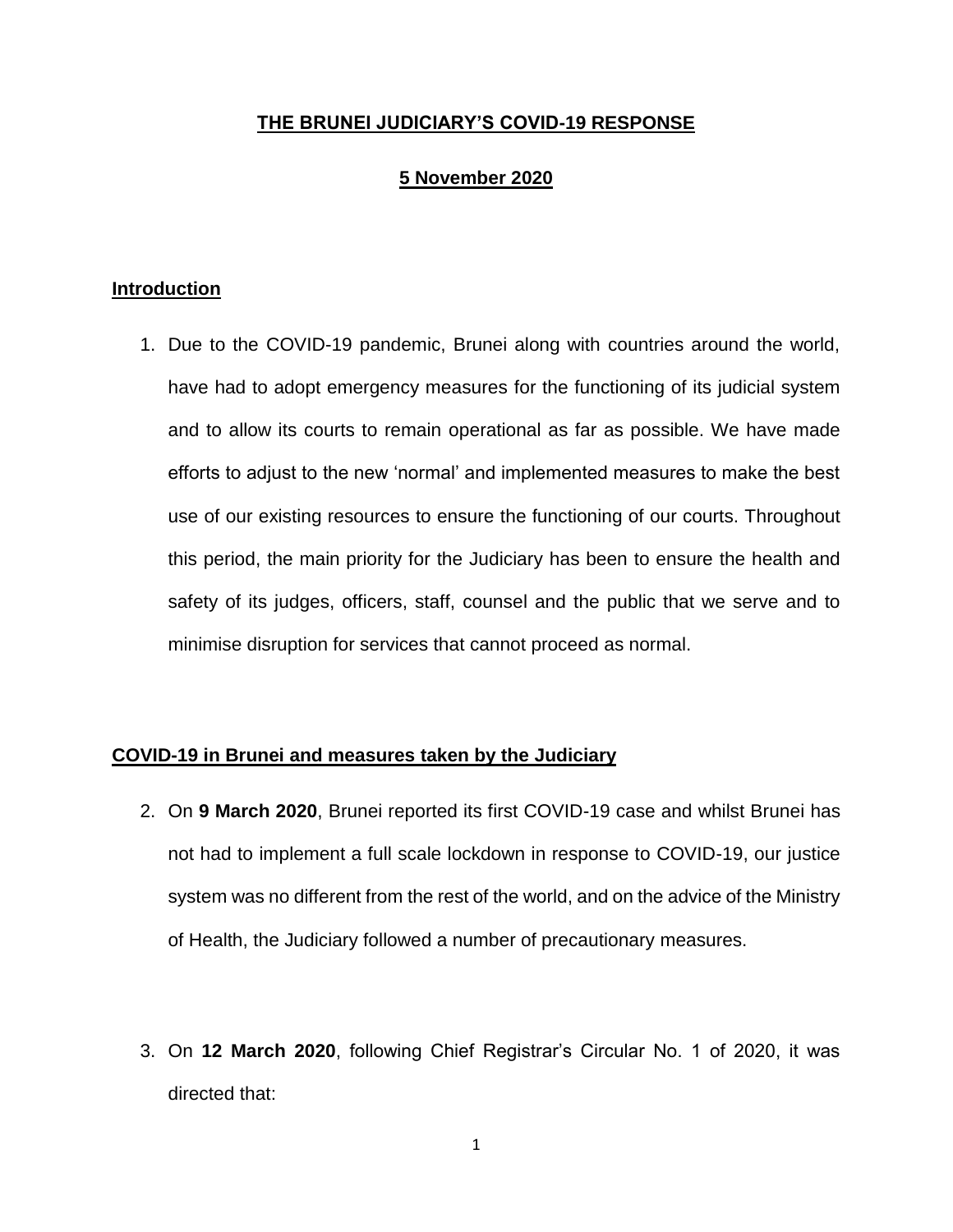# **THE BRUNEI JUDICIARY'S COVID-19 RESPONSE**

# **5 November 2020**

## **Introduction**

1. Due to the COVID-19 pandemic, Brunei along with countries around the world, have had to adopt emergency measures for the functioning of its judicial system and to allow its courts to remain operational as far as possible. We have made efforts to adjust to the new 'normal' and implemented measures to make the best use of our existing resources to ensure the functioning of our courts. Throughout this period, the main priority for the Judiciary has been to ensure the health and safety of its judges, officers, staff, counsel and the public that we serve and to minimise disruption for services that cannot proceed as normal.

## **COVID-19 in Brunei and measures taken by the Judiciary**

- 2. On **9 March 2020**, Brunei reported its first COVID-19 case and whilst Brunei has not had to implement a full scale lockdown in response to COVID-19, our justice system was no different from the rest of the world, and on the advice of the Ministry of Health, the Judiciary followed a number of precautionary measures.
- 3. On **12 March 2020**, following Chief Registrar's Circular No. 1 of 2020, it was directed that: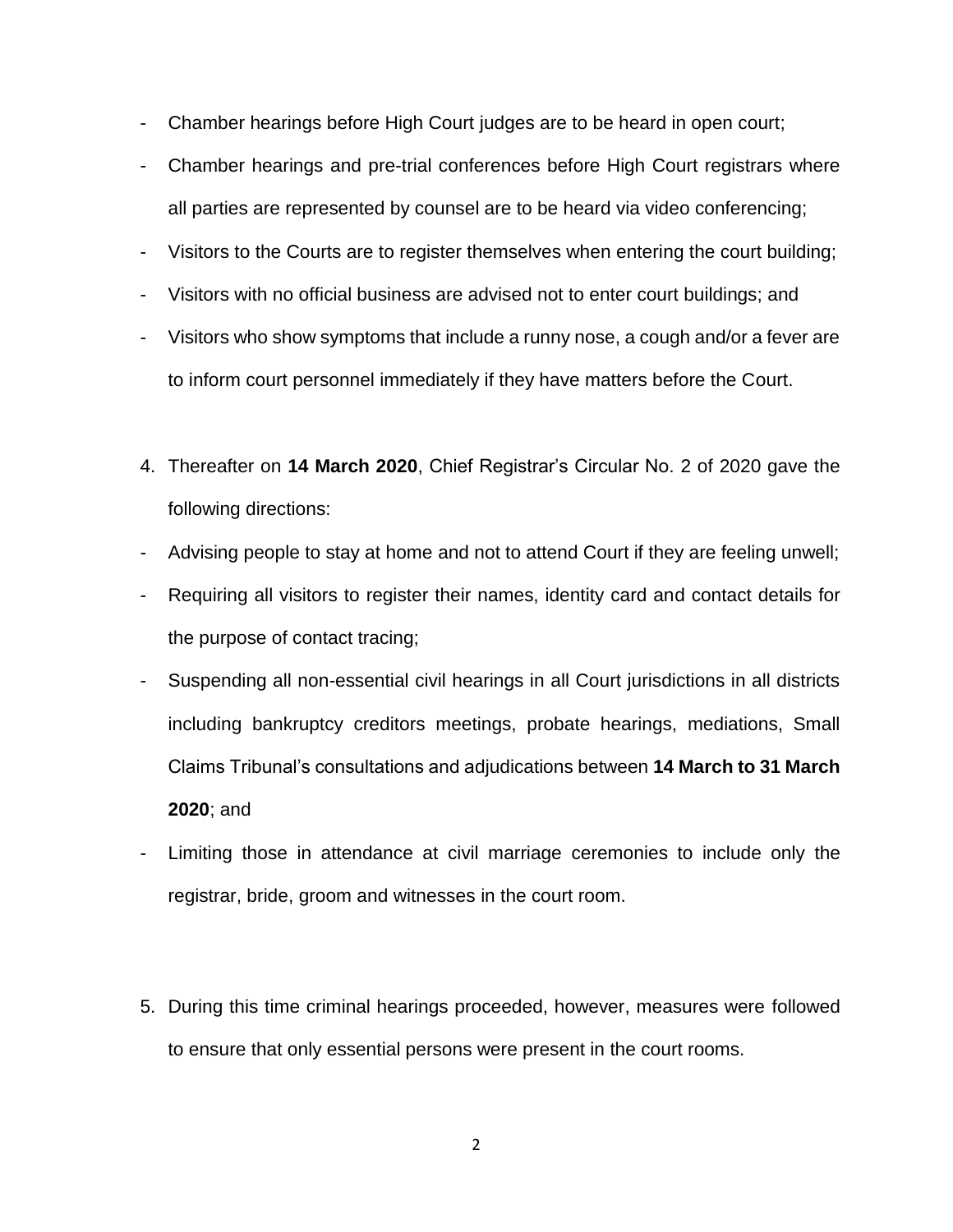- Chamber hearings before High Court judges are to be heard in open court;
- Chamber hearings and pre-trial conferences before High Court registrars where all parties are represented by counsel are to be heard via video conferencing;
- Visitors to the Courts are to register themselves when entering the court building;
- Visitors with no official business are advised not to enter court buildings; and
- Visitors who show symptoms that include a runny nose, a cough and/or a fever are to inform court personnel immediately if they have matters before the Court.
- 4. Thereafter on **14 March 2020**, Chief Registrar's Circular No. 2 of 2020 gave the following directions:
- Advising people to stay at home and not to attend Court if they are feeling unwell;
- Requiring all visitors to register their names, identity card and contact details for the purpose of contact tracing;
- Suspending all non-essential civil hearings in all Court jurisdictions in all districts including bankruptcy creditors meetings, probate hearings, mediations, Small Claims Tribunal's consultations and adjudications between **14 March to 31 March 2020**; and
- Limiting those in attendance at civil marriage ceremonies to include only the registrar, bride, groom and witnesses in the court room.
- 5. During this time criminal hearings proceeded, however, measures were followed to ensure that only essential persons were present in the court rooms.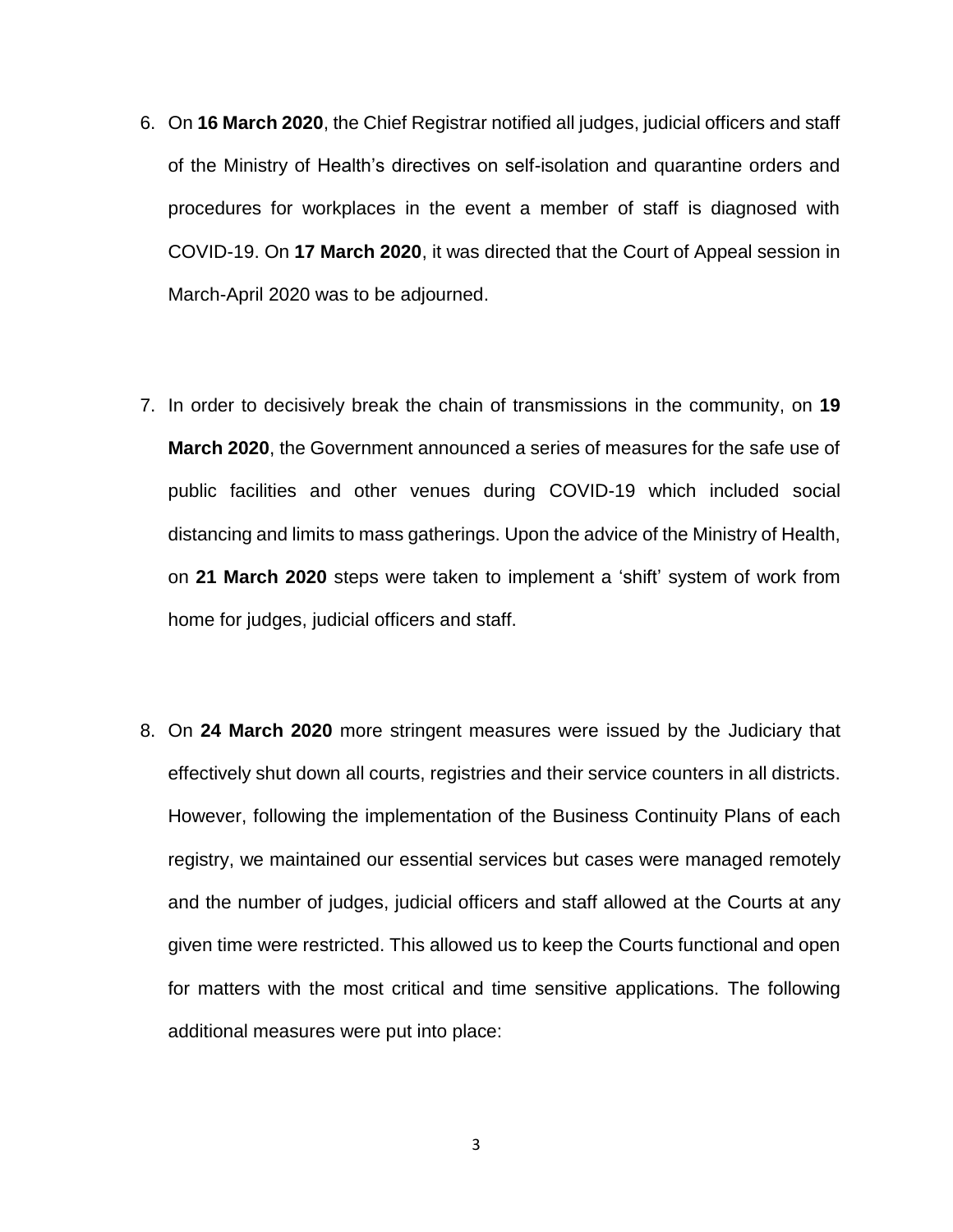- 6. On **16 March 2020**, the Chief Registrar notified all judges, judicial officers and staff of the Ministry of Health's directives on self-isolation and quarantine orders and procedures for workplaces in the event a member of staff is diagnosed with COVID-19. On **17 March 2020**, it was directed that the Court of Appeal session in March-April 2020 was to be adjourned.
- 7. In order to decisively break the chain of transmissions in the community, on **19 March 2020**, the Government announced a series of measures for the safe use of public facilities and other venues during COVID-19 which included social distancing and limits to mass gatherings. Upon the advice of the Ministry of Health, on **21 March 2020** steps were taken to implement a 'shift' system of work from home for judges, judicial officers and staff.
- 8. On **24 March 2020** more stringent measures were issued by the Judiciary that effectively shut down all courts, registries and their service counters in all districts. However, following the implementation of the Business Continuity Plans of each registry, we maintained our essential services but cases were managed remotely and the number of judges, judicial officers and staff allowed at the Courts at any given time were restricted. This allowed us to keep the Courts functional and open for matters with the most critical and time sensitive applications. The following additional measures were put into place: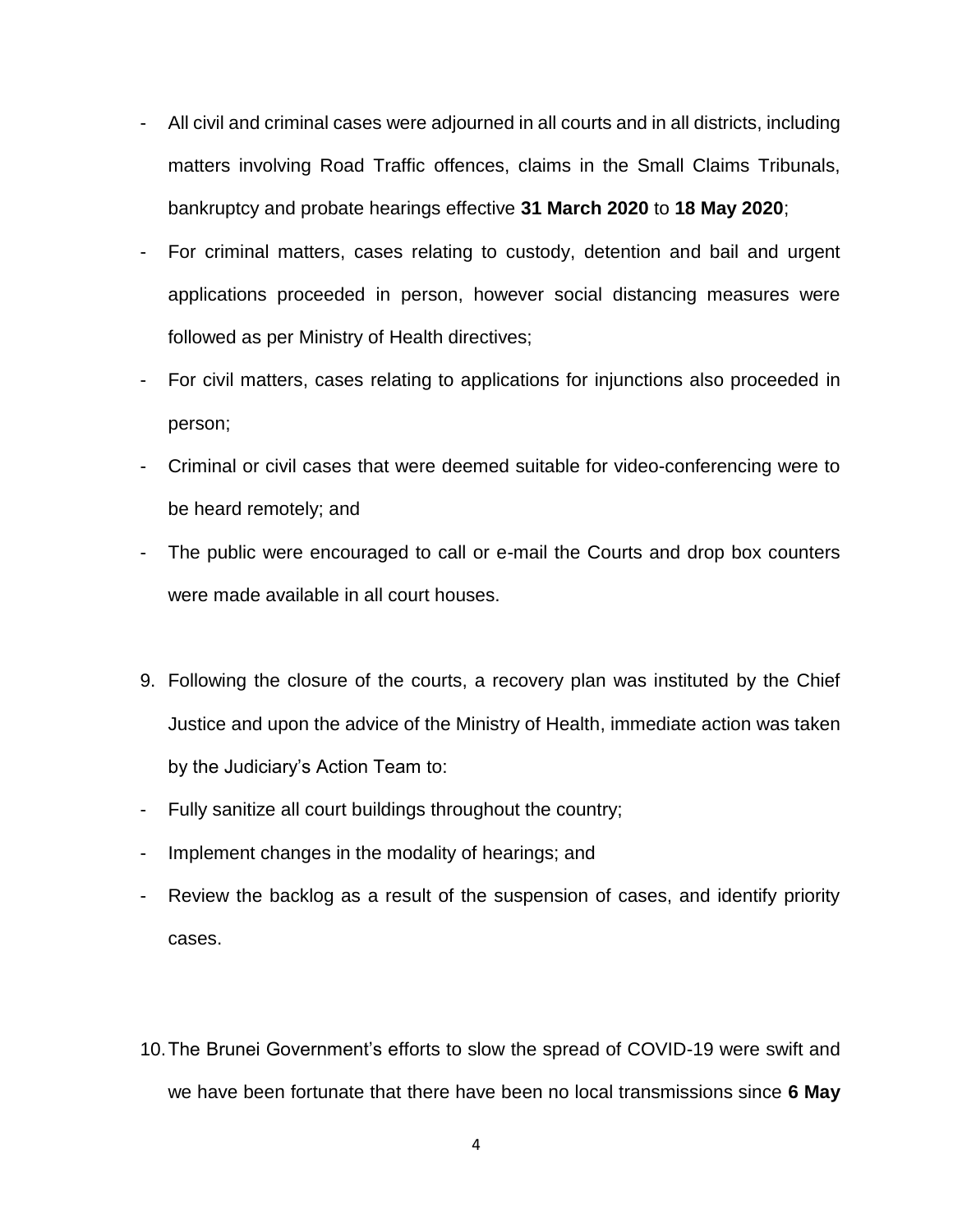- All civil and criminal cases were adjourned in all courts and in all districts, including matters involving Road Traffic offences, claims in the Small Claims Tribunals, bankruptcy and probate hearings effective **31 March 2020** to **18 May 2020**;
- For criminal matters, cases relating to custody, detention and bail and urgent applications proceeded in person, however social distancing measures were followed as per Ministry of Health directives;
- For civil matters, cases relating to applications for injunctions also proceeded in person;
- Criminal or civil cases that were deemed suitable for video-conferencing were to be heard remotely; and
- The public were encouraged to call or e-mail the Courts and drop box counters were made available in all court houses.
- 9. Following the closure of the courts, a recovery plan was instituted by the Chief Justice and upon the advice of the Ministry of Health, immediate action was taken by the Judiciary's Action Team to:
- Fully sanitize all court buildings throughout the country;
- Implement changes in the modality of hearings; and
- Review the backlog as a result of the suspension of cases, and identify priority cases.
- 10.The Brunei Government's efforts to slow the spread of COVID-19 were swift and we have been fortunate that there have been no local transmissions since **6 May**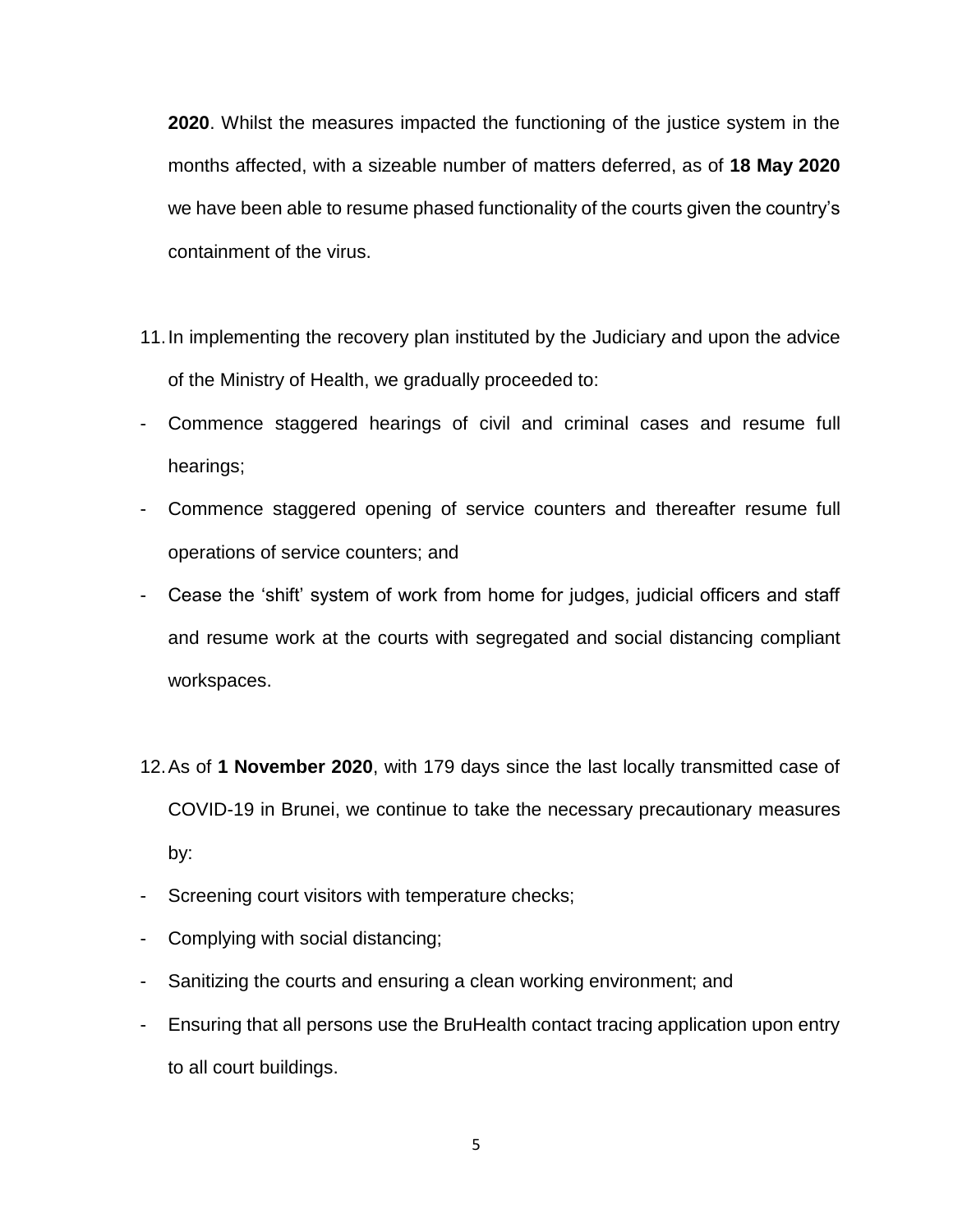**2020**. Whilst the measures impacted the functioning of the justice system in the months affected, with a sizeable number of matters deferred, as of **18 May 2020** we have been able to resume phased functionality of the courts given the country's containment of the virus.

- 11.In implementing the recovery plan instituted by the Judiciary and upon the advice of the Ministry of Health, we gradually proceeded to:
- Commence staggered hearings of civil and criminal cases and resume full hearings;
- Commence staggered opening of service counters and thereafter resume full operations of service counters; and
- Cease the 'shift' system of work from home for judges, judicial officers and staff and resume work at the courts with segregated and social distancing compliant workspaces.
- 12.As of **1 November 2020**, with 179 days since the last locally transmitted case of COVID-19 in Brunei, we continue to take the necessary precautionary measures by:
- Screening court visitors with temperature checks;
- Complying with social distancing;
- Sanitizing the courts and ensuring a clean working environment; and
- Ensuring that all persons use the BruHealth contact tracing application upon entry to all court buildings.

5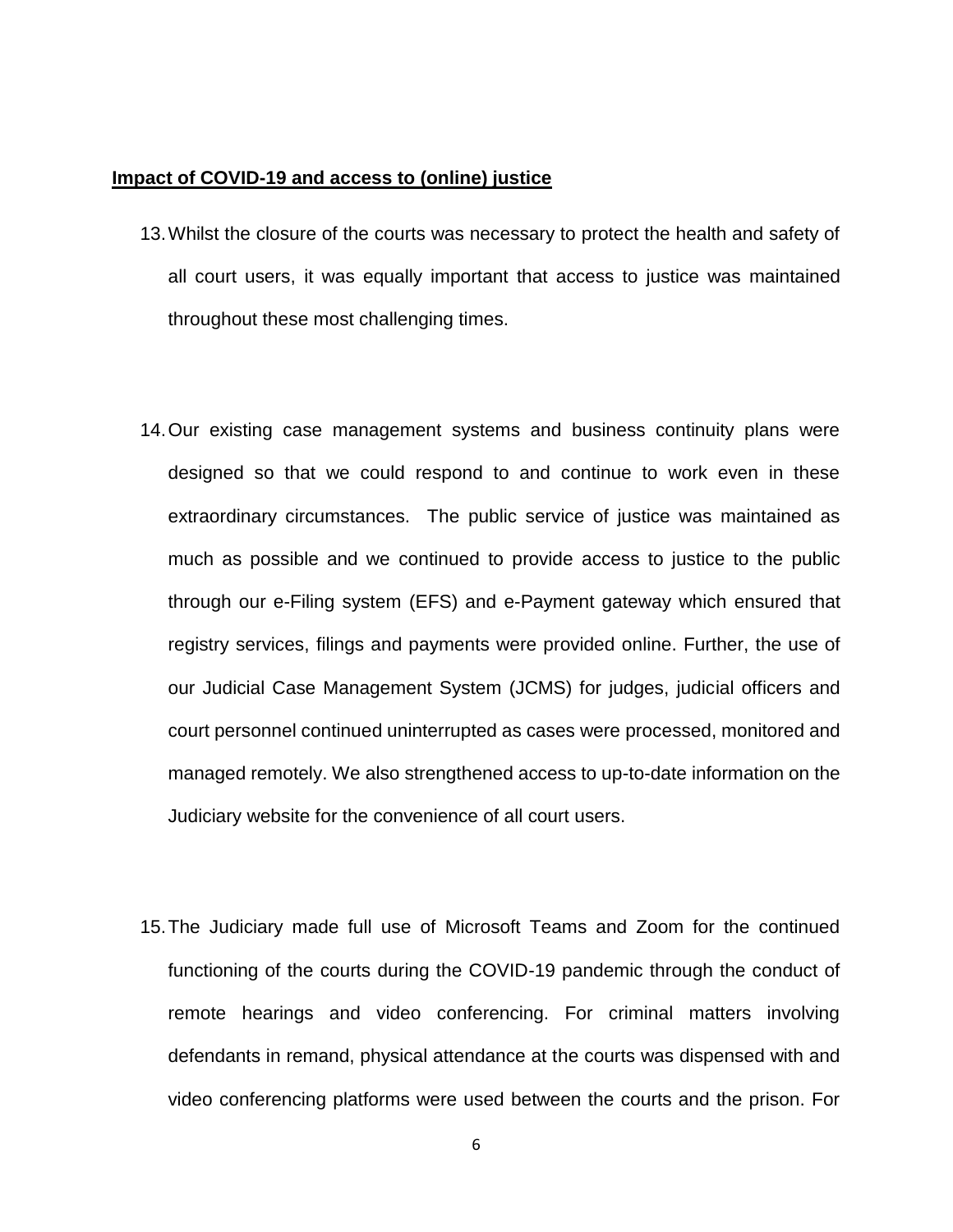#### **Impact of COVID-19 and access to (online) justice**

- 13.Whilst the closure of the courts was necessary to protect the health and safety of all court users, it was equally important that access to justice was maintained throughout these most challenging times.
- 14.Our existing case management systems and business continuity plans were designed so that we could respond to and continue to work even in these extraordinary circumstances. The public service of justice was maintained as much as possible and we continued to provide access to justice to the public through our e-Filing system (EFS) and e-Payment gateway which ensured that registry services, filings and payments were provided online. Further, the use of our Judicial Case Management System (JCMS) for judges, judicial officers and court personnel continued uninterrupted as cases were processed, monitored and managed remotely. We also strengthened access to up-to-date information on the Judiciary website for the convenience of all court users.
- 15.The Judiciary made full use of Microsoft Teams and Zoom for the continued functioning of the courts during the COVID-19 pandemic through the conduct of remote hearings and video conferencing. For criminal matters involving defendants in remand, physical attendance at the courts was dispensed with and video conferencing platforms were used between the courts and the prison. For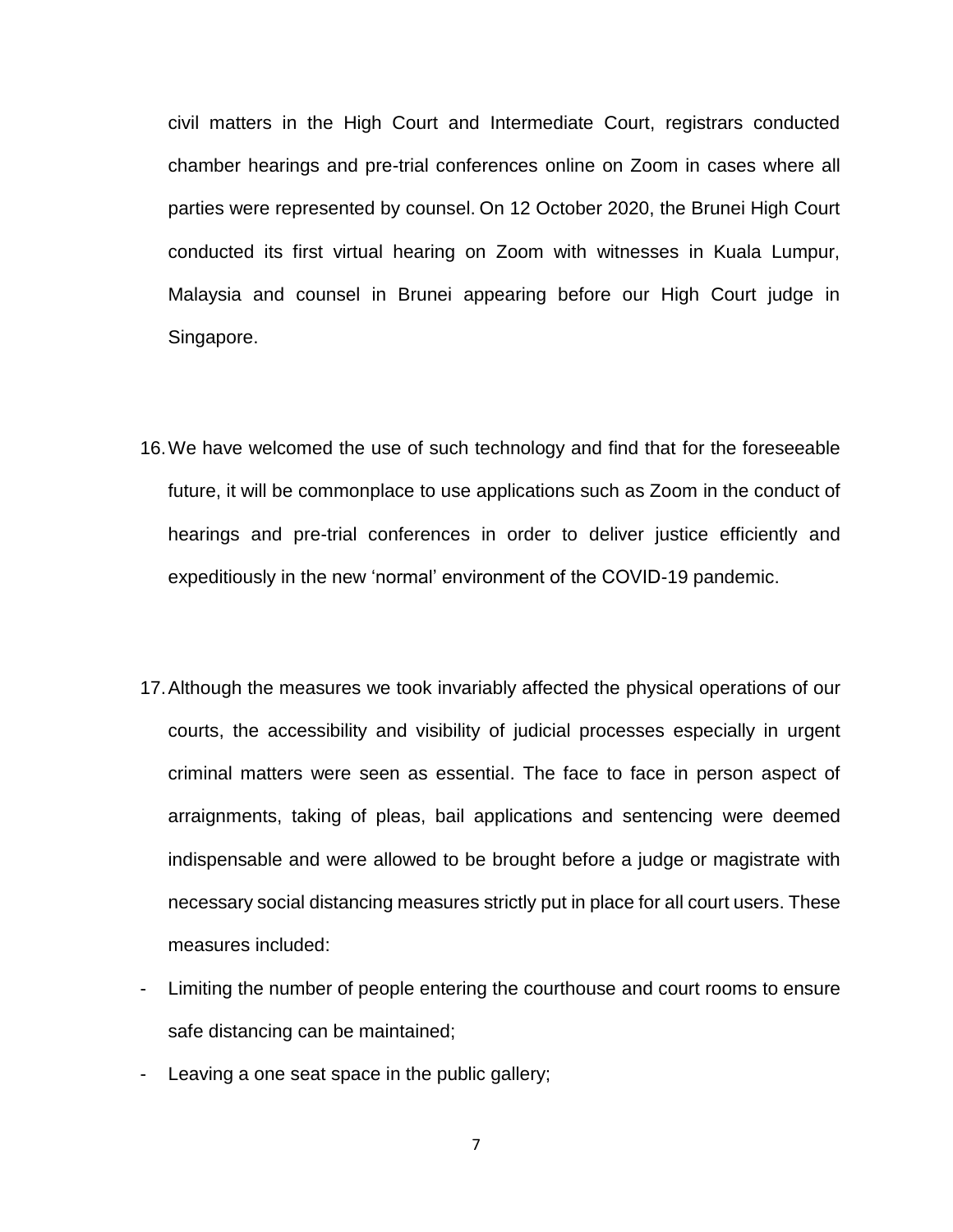civil matters in the High Court and Intermediate Court, registrars conducted chamber hearings and pre-trial conferences online on Zoom in cases where all parties were represented by counsel. On 12 October 2020, the Brunei High Court conducted its first virtual hearing on Zoom with witnesses in Kuala Lumpur, Malaysia and counsel in Brunei appearing before our High Court judge in Singapore.

- 16.We have welcomed the use of such technology and find that for the foreseeable future, it will be commonplace to use applications such as Zoom in the conduct of hearings and pre-trial conferences in order to deliver justice efficiently and expeditiously in the new 'normal' environment of the COVID-19 pandemic.
- 17.Although the measures we took invariably affected the physical operations of our courts, the accessibility and visibility of judicial processes especially in urgent criminal matters were seen as essential. The face to face in person aspect of arraignments, taking of pleas, bail applications and sentencing were deemed indispensable and were allowed to be brought before a judge or magistrate with necessary social distancing measures strictly put in place for all court users. These measures included:
- Limiting the number of people entering the courthouse and court rooms to ensure safe distancing can be maintained;
- Leaving a one seat space in the public gallery;

7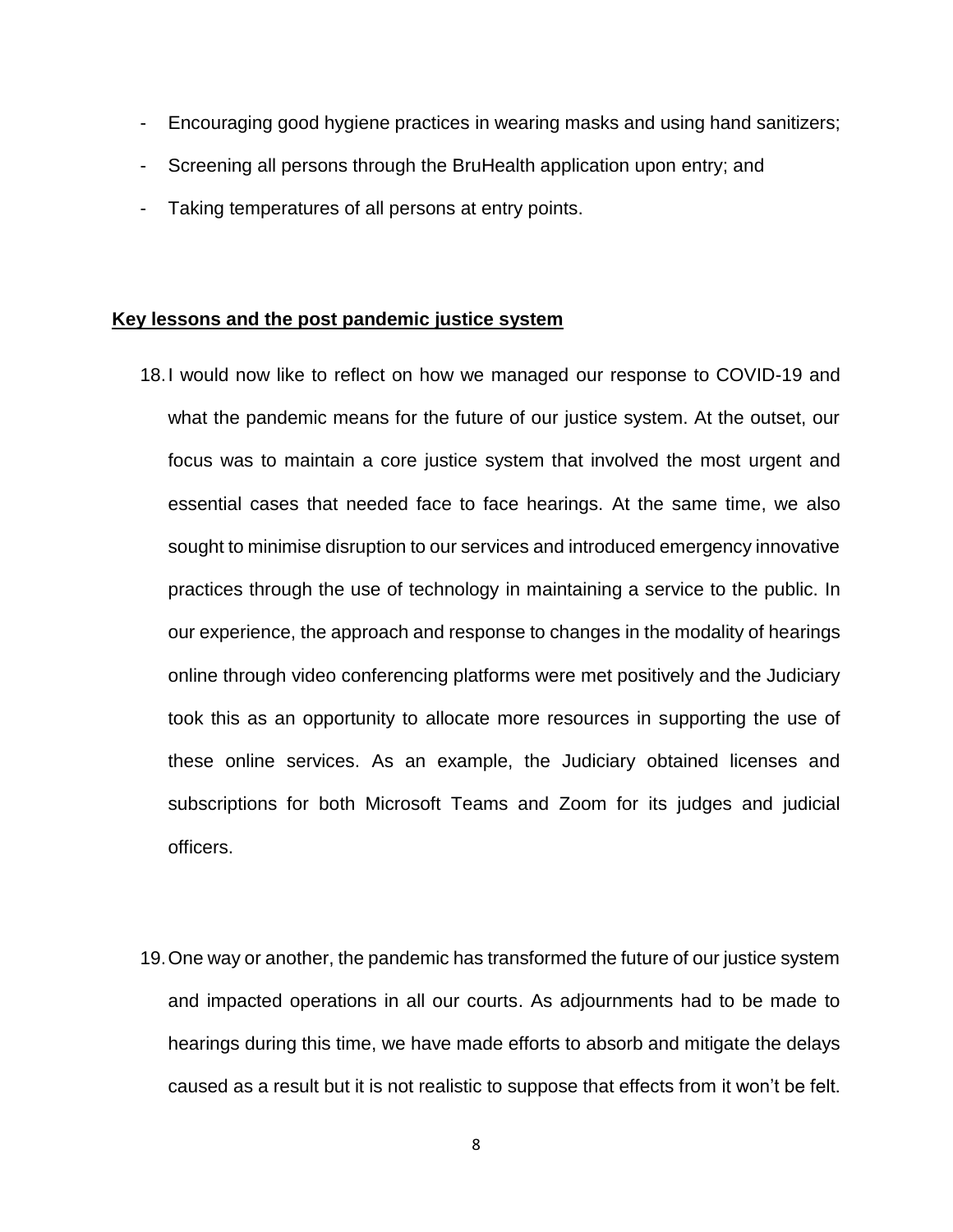- Encouraging good hygiene practices in wearing masks and using hand sanitizers;
- Screening all persons through the BruHealth application upon entry; and
- Taking temperatures of all persons at entry points.

#### **Key lessons and the post pandemic justice system**

- 18.I would now like to reflect on how we managed our response to COVID-19 and what the pandemic means for the future of our justice system. At the outset, our focus was to maintain a core justice system that involved the most urgent and essential cases that needed face to face hearings. At the same time, we also sought to minimise disruption to our services and introduced emergency innovative practices through the use of technology in maintaining a service to the public. In our experience, the approach and response to changes in the modality of hearings online through video conferencing platforms were met positively and the Judiciary took this as an opportunity to allocate more resources in supporting the use of these online services. As an example, the Judiciary obtained licenses and subscriptions for both Microsoft Teams and Zoom for its judges and judicial officers.
- 19.One way or another, the pandemic has transformed the future of our justice system and impacted operations in all our courts. As adjournments had to be made to hearings during this time, we have made efforts to absorb and mitigate the delays caused as a result but it is not realistic to suppose that effects from it won't be felt.